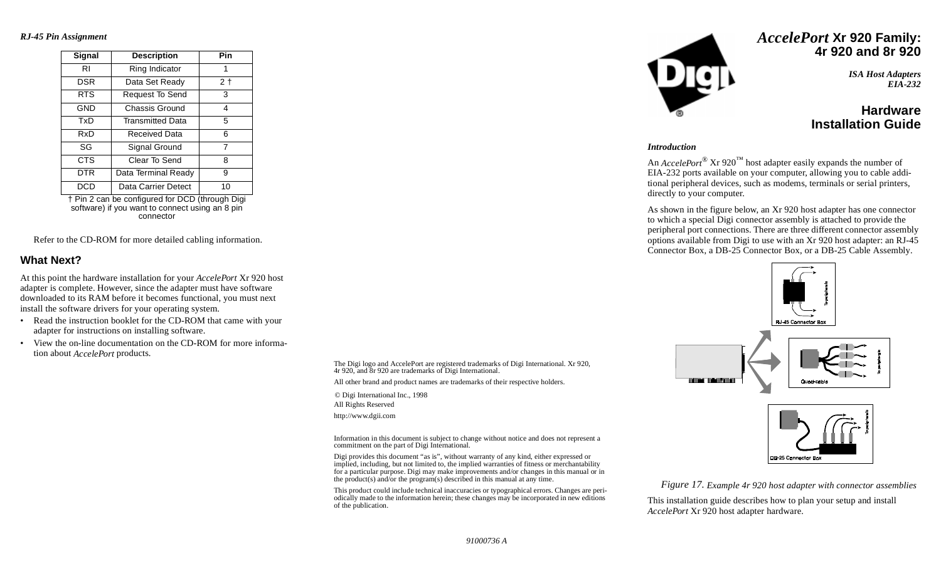*RJ-45 Pin Assignment*

| Signal     | <b>Description</b>      | Pin  |  |  |
|------------|-------------------------|------|--|--|
| RI         | Ring Indicator          | 1    |  |  |
| <b>DSR</b> | Data Set Ready          | $2+$ |  |  |
| <b>RTS</b> | Request To Send         | 3    |  |  |
| <b>GND</b> | Chassis Ground          | 4    |  |  |
| TxD        | <b>Transmitted Data</b> | 5    |  |  |
| RxD        | Received Data           | 6    |  |  |
| SG         | Signal Ground           | 7    |  |  |
| <b>CTS</b> | Clear To Send           | 8    |  |  |
| DTR        | Data Terminal Ready     | 9    |  |  |
| DCD        | Data Carrier Detect     | 10   |  |  |
|            |                         |      |  |  |

† Pin 2 can be configured for DCD (through Digi software) if you want to connect using an 8 pin connector

Refer to the CD-ROM for more detailed cabling information.

#### **What Next?**

At this point the hardware installation for your *AccelePort* Xr 920 host adapter is complete. However, since the adapter must have software downloaded to its RAM before it becomes functional, you must next install the software drivers for your operating system.

- • Read the instruction booklet for the CD-ROM that came with your adapter for instructions on installing software.
- • View the on-line documentation on the CD-ROM for more information about *AccelePort* products.

The Digi logo and AccelePort are registered trademarks of Digi International. Xr 920, 4r 920, and 8r 920 are trademarks of Digi International.

All other brand and product names are trademarks of their respective holders.

© Digi International Inc., 1998 All Rights Reserved

http://www.dgii.com

Information in this document is subject to change without notice and does not represent a commitment on the part of Digi International.

Digi provides this document "as is", without warranty of any kind, either expressed or implied, including, but not limited to, the implied warranties of fitness or merchantability for a particular purpose. Digi may make improvements and/or changes in this manual or in the product(s) and/or the program(s) described in this manual at any time.

This product could include technical inaccuracies or typographical errors. Changes are periodically made to the information herein; these changes may be incorporated in new editions of the publication.



## *AccelePort* **Xr 920 Family: 4r 920 and 8r 920**

*ISA Host Adapters EIA-232*

## **HardwareInstallation Guide**

#### *Introduction*

An *AccelePort*<sup>®</sup> Xr 920<sup>™</sup> host adapter easily expands the number of EIA-232 ports available on your computer, allowing you to cable additional peripheral devices, such as modems, terminals or serial printers, directly to your computer.

As shown in the figure below, an Xr 920 host adapter has one connector to which a special Digi connector assembly is attached to provide the peripheral port connections. There are three different connector assembly options available from Digi to use with an Xr 920 host adapter: an RJ-45 Connector Box, a DB-25 Connector Box, or a DB-25 Cable Assembly.





*Figure 17. Example 4r 920 host adapter with connector assemblies*

This installation guide describes how to plan your setup and install *AccelePort* Xr 920 host adapter hardware.